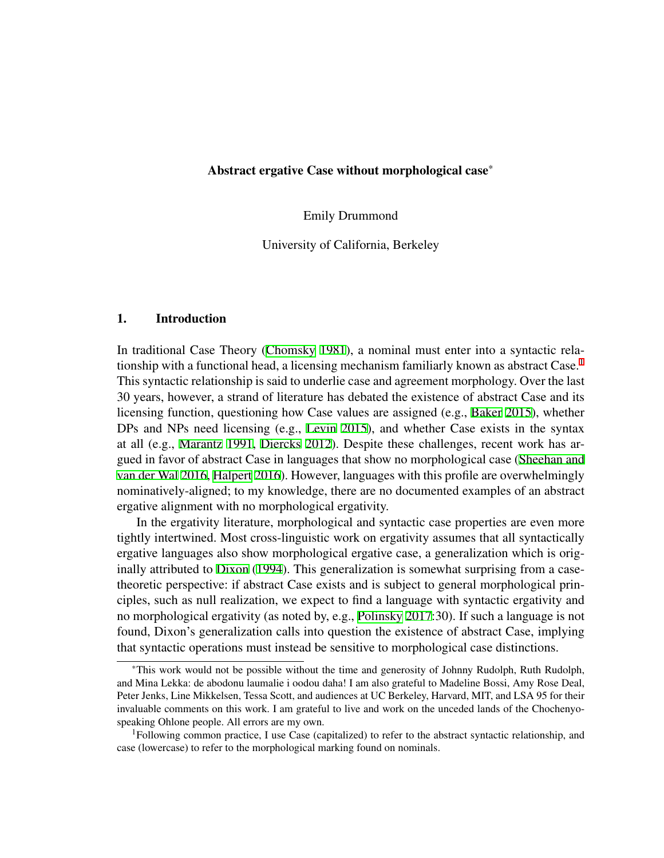Emily Drummond

University of California, Berkeley

# 1. Introduction

In traditional Case Theory [\(Chomsky](#page-12-0) [1981](#page-12-0)), a nominal must enter into a syntactic relationship with a functional head, a licensing mechanism familiarly known as abstract  $\text{Case}^1$  $\text{Case}^1$ . This syntactic relationship is said to underlie case and agreement morphology. Over the last 30 years, however, a strand of literature has debated the existence of abstract Case and its licensing function, questioning how Case values are assigned (e.g., [Baker](#page-12-1) [2015](#page-12-1)), whether DPs and NPs need licensing (e.g., [Levin](#page-13-0) [2015\)](#page-13-0), and whether Case exists in the syntax at all (e.g., [Marantz](#page-13-1) [1991](#page-13-1), [Diercks](#page-12-2) [2012\)](#page-12-2). Despite these challenges, recent work has argued in favor of abstract Case in languages that show no morphological case ([Sheehan and](#page-13-2) [van der Wal](#page-13-2) [2016,](#page-13-2) [Halpert](#page-13-3) [2016\)](#page-13-3). However, languages with this profile are overwhelmingly nominatively-aligned; to my knowledge, there are no documented examples of an abstract ergative alignment with no morphological ergativity.

In the ergativity literature, morphological and syntactic case properties are even more tightly intertwined. Most cross-linguistic work on ergativity assumes that all syntactically ergative languages also show morphological ergative case, a generalization which is originally attributed to [Dixon](#page-12-3) ([1994\)](#page-12-3). This generalization is somewhat surprising from a casetheoretic perspective: if abstract Case exists and is subject to general morphological principles, such as null realization, we expect to find a language with syntactic ergativity and no morphological ergativity (as noted by, e.g., [Polinsky](#page-13-4) [2017](#page-13-4):30). If such a language is not found, Dixon's generalization calls into question the existence of abstract Case, implying that syntactic operations must instead be sensitive to morphological case distinctions.

<sup>\*</sup>This work would not be possible without the time and generosity of Johnny Rudolph, Ruth Rudolph, and Mina Lekka: de abodonu laumalie i oodou daha! I am also grateful to Madeline Bossi, Amy Rose Deal, Peter Jenks, Line Mikkelsen, Tessa Scott, and audiences at UC Berkeley, Harvard, MIT, and LSA 95 for their invaluable comments on this work. I am grateful to live and work on the unceded lands of the Chochenyospeaking Ohlone people. All errors are my own.

<span id="page-0-0"></span><sup>&</sup>lt;sup>1</sup>Following common practice, I use Case (capitalized) to refer to the abstract syntactic relationship, and case (lowercase) to refer to the morphological marking found on nominals.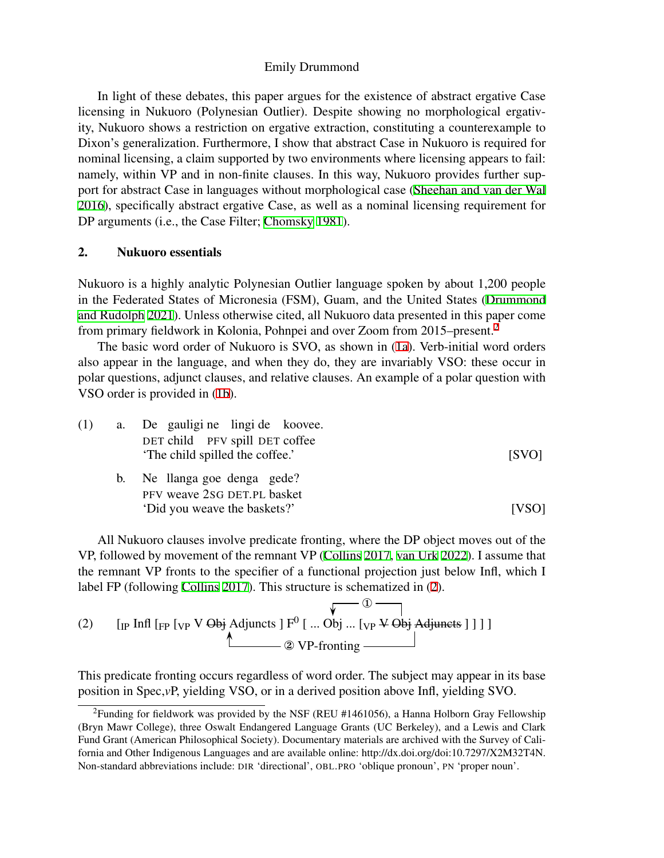In light of these debates, this paper argues for the existence of abstract ergative Case licensing in Nukuoro (Polynesian Outlier). Despite showing no morphological ergativity, Nukuoro shows a restriction on ergative extraction, constituting a counterexample to Dixon's generalization. Furthermore, I show that abstract Case in Nukuoro is required for nominal licensing, a claim supported by two environments where licensing appears to fail: namely, within VP and in non-finite clauses. In this way, Nukuoro provides further support for abstract Case in languages without morphological case ([Sheehan and van der Wal](#page-13-2) [2016\)](#page-13-2), specifically abstract ergative Case, as well as a nominal licensing requirement for DP arguments (i.e., the Case Filter; [Chomsky](#page-12-0) [1981](#page-12-0)).

# 2. Nukuoro essentials

Nukuoro is a highly analytic Polynesian Outlier language spoken by about 1,200 people in the Federated States of Micronesia (FSM), Guam, and the United States [\(Drummond](#page-13-5) [and Rudolph](#page-13-5) [2021](#page-13-5)). Unless otherwise cited, all Nukuoro data presented in this paper come from primary fieldwork in Kolonia, Pohnpei and over Zoom from 2015–present.[2](#page-1-0)

The basic word order of Nukuoro is SVO, as shown in [\(1a](#page-1-1)). Verb-initial word orders also appear in the language, and when they do, they are invariably VSO: these occur in polar questions, adjunct clauses, and relative clauses. An example of a polar question with VSO order is provided in ([1b\)](#page-1-2).

<span id="page-1-2"></span><span id="page-1-1"></span>

| (1) | a. De gauligi ne lingi de koovee.                                |       |
|-----|------------------------------------------------------------------|-------|
|     | DET child PFV spill DET coffee<br>The child spilled the coffee.' | [SVO] |
|     | b. Ne llanga goe denga gede?                                     |       |
|     | PFV weave 2sG DET.PL basket<br>'Did you weave the baskets?'      | [VSO] |

All Nukuoro clauses involve predicate fronting, where the DP object moves out of the VP, followed by movement of the remnant VP ([Collins](#page-12-4) [2017,](#page-12-4) [van Urk](#page-13-6) [2022\)](#page-13-6). I assume that the remnant VP fronts to the specifier of a functional projection just below Infl, which I label FP (following [Collins](#page-12-4) [2017](#page-12-4)). This structure is schematized in [\(2](#page-1-3)).

<span id="page-1-3"></span>(2) 
$$
\begin{array}{c}\n\sqrt{2} \\
\end{array}
$$
 [IP Infl [FP [VP V ~~Obj~~ Adjust all F<sup>0</sup> [... Obj ... [VP ~~V~~ ~~Obj~~ Adjust all ] ] ]

This predicate fronting occurs regardless of word order. The subject may appear in its base position in Spec,*v*P, yielding VSO, or in a derived position above Infl, yielding SVO.

<span id="page-1-0"></span> $2$ Funding for fieldwork was provided by the NSF (REU #1461056), a Hanna Holborn Gray Fellowship (Bryn Mawr College), three Oswalt Endangered Language Grants (UC Berkeley), and a Lewis and Clark Fund Grant (American Philosophical Society). Documentary materials are archived with the Survey of California and Other Indigenous Languages and are available online: http://dx.doi.org/doi:10.7297/X2M32T4N. Non-standard abbreviations include: DIR 'directional', OBL.PRO 'oblique pronoun', PN 'proper noun'.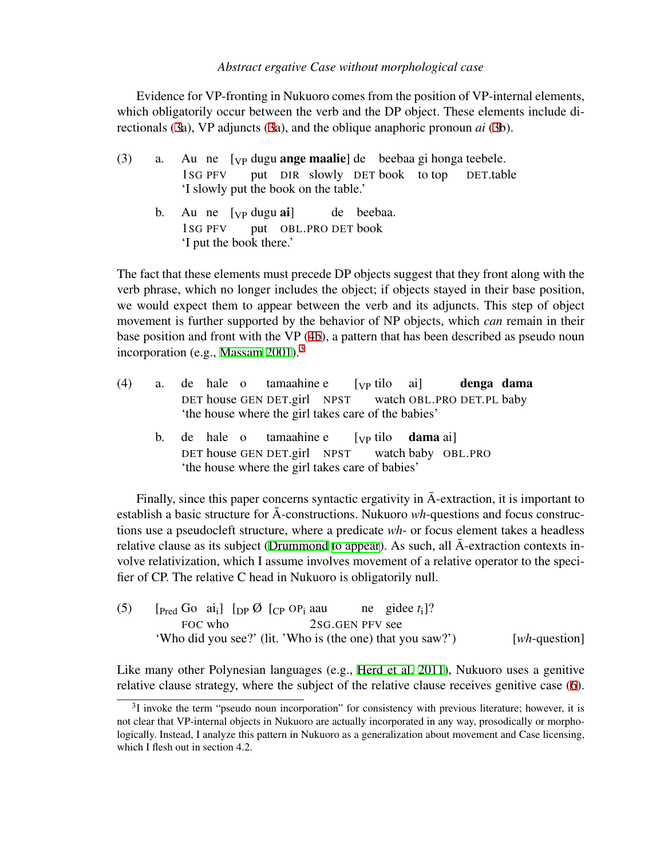Evidence for VP-fronting in Nukuoro comes from the position of VP-internal elements, which obligatorily occur between the verb and the DP object. These elements include directionals [\(3](#page-2-0)a), VP adjuncts ([3a](#page-2-0)), and the oblique anaphoric pronoun *ai* ([3b](#page-2-0)).

- <span id="page-2-0"></span>(3) a. Au ne [vp dugu **ange maalie**] de beebaa gi honga teebele. 1SG PFV put DIR slowly DET book to top DET.table 'I slowly put the book on the table.'
	- b. Au ne [<sub>VP</sub> dugu ai] 1SG PFV put OBL.PRO DET book de beebaa. 'I put the book there.'

The fact that these elements must precede DP objects suggest that they front along with the verb phrase, which no longer includes the object; if objects stayed in their base position, we would expect them to appear between the verb and its adjuncts. This step of object movement is further supported by the behavior of NP objects, which *can* remain in their base position and front with the VP ([4b](#page-2-1)), a pattern that has been described as pseudo noun incorporation (e.g., [Massam](#page-13-7)  $2001$ ).<sup>[3](#page-2-2)</sup>

- <span id="page-2-1"></span> $(4)$  a. DET house GEN DET.girl NPST hale o tamaahine e  $[\nabla P]$  tilo watch OBL.PRO DET.PL baby ai] denga dama 'the house where the girl takes care of the babies'
	- b. de hale o DET house GEN DET.girl NPST tamaahine e [VP tilo watch baby OBL.PRO dama ai] 'the house where the girl takes care of babies'

Finally, since this paper concerns syntactic ergativity in  $\bar{A}$ -extraction, it is important to establish a basic structure for  $\bar{A}$ -constructions. Nukuoro  $wh$ -questions and focus constructions use a pseudocleft structure, where a predicate *wh*- or focus element takes a headless relative clause as its subject ([Drummond](#page-12-5) [to appear](#page-12-5)). As such, all  $\bar{A}$ -extraction contexts involve relativization, which I assume involves movement of a relative operator to the specifier of CP. The relative C head in Nukuoro is obligatorily null.

(5)  $[\text{Pred Go } \text{ai}_i] [\text{DP } \emptyset] [\text{CP } \text{OP}_i \text{ aau}]$ FOC who 2SG.GEN PFV see ne gidee *t*i ]? 'Who did you see?' (lit. 'Who is (the one) that you saw?') [*wh*-question]

Like many other Polynesian languages (e.g., [Herd et al.](#page-13-8) [2011\)](#page-13-8), Nukuoro uses a genitive relative clause strategy, where the subject of the relative clause receives genitive case [\(6](#page-3-0)).

<span id="page-2-2"></span> $3I$  invoke the term "pseudo noun incorporation" for consistency with previous literature; however, it is not clear that VP-internal objects in Nukuoro are actually incorporated in any way, prosodically or morphologically. Instead, I analyze this pattern in Nukuoro as a generalization about movement and Case licensing, which I flesh out in section 4.2.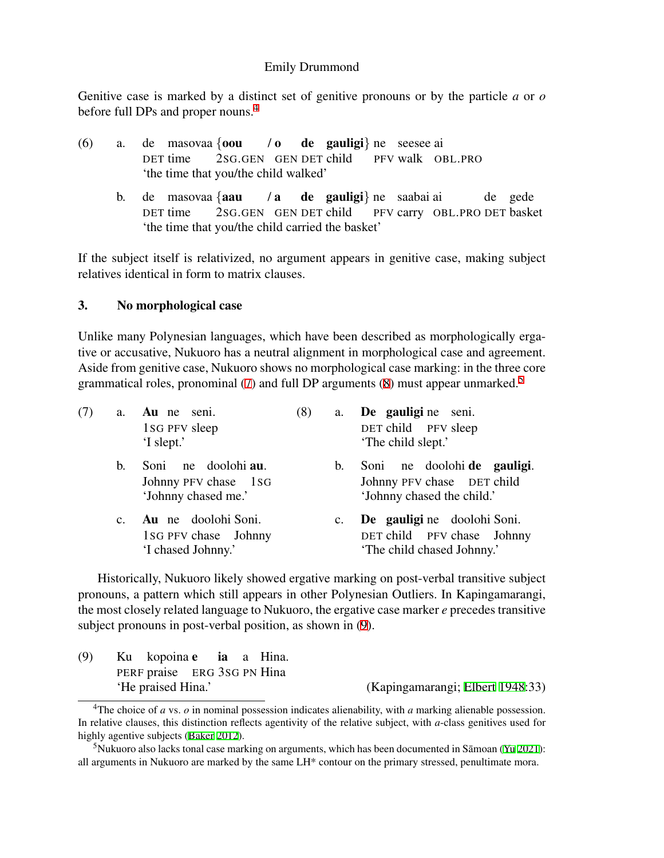Genitive case is marked by a distinct set of genitive pronouns or by the particle *a* or *o* before full DPs and proper nouns.<sup>[4](#page-3-1)</sup>

<span id="page-3-0"></span>

| (6) |  | a. de masovaa { <b>oou</b> / <b>o de gauligi</b> } ne seesee ai |  |  |                                                 |
|-----|--|-----------------------------------------------------------------|--|--|-------------------------------------------------|
|     |  |                                                                 |  |  | DET time 2SG.GEN GEN DET child PFV walk OBL.PRO |
|     |  | the time that you/the child walked'                             |  |  |                                                 |

b. de masovaa *{*aau DET time 2SG.GEN GEN DET child / a de gauligi*}* ne saabai ai PFV carry OBL.PRO DET basket de gede 'the time that you/the child carried the basket'

If the subject itself is relativized, no argument appears in genitive case, making subject relatives identical in form to matrix clauses.

# 3. No morphological case

Unlike many Polynesian languages, which have been described as morphologically ergative or accusative, Nukuoro has a neutral alignment in morphological case and agreement. Aside from genitive case, Nukuoro shows no morphological case marking: in the three core grammatical roles, pronominal [\(7](#page-3-2)) and full DP arguments ([8\)](#page-3-3) must appear unmarked.<sup>[5](#page-3-4)</sup>

<span id="page-3-2"></span>

| (7) |                | a. Au ne seni.<br>1sG PFV sleep<br>'I slept.'                      | (8) | a.          | De gauligi ne seni.<br>DET child PFV sleep<br>'The child slept.'                        |
|-----|----------------|--------------------------------------------------------------------|-----|-------------|-----------------------------------------------------------------------------------------|
|     | $\mathbf{b}$ . | Soni ne doolohi au.<br>Johnny PFV chase 1sG<br>'Johnny chased me.' |     | b.          | Soni ne doolohi de gauligi.<br>Johnny PFV chase DET child<br>'Johnny chased the child.' |
|     | $c_{\cdot}$    | Au ne doolohi Soni.<br>1SG PFV chase Johnny<br>'I chased Johnny.'  |     | $c_{\cdot}$ | De gauligi ne doolohi Soni.<br>DET child PFV chase Johnny<br>'The child chased Johnny.' |

<span id="page-3-3"></span>Historically, Nukuoro likely showed ergative marking on post-verbal transitive subject pronouns, a pattern which still appears in other Polynesian Outliers. In Kapingamarangi, the most closely related language to Nukuoro, the ergative case marker *e* precedes transitive subject pronouns in post-verbal position, as shown in ([9\)](#page-3-5).

<span id="page-3-5"></span>

| (9) | Ku kopoina <b>e ia</b> a Hina. |  |                                  |
|-----|--------------------------------|--|----------------------------------|
|     | PERF praise ERG 3SG PN Hina    |  |                                  |
|     | 'He praised Hina.'             |  | (Kapingamarangi; Elbert 1948:33) |

<span id="page-3-1"></span><sup>&</sup>lt;sup>4</sup>The choice of *a* vs. *o* in nominal possession indicates alienability, with *a* marking alienable possession. In relative clauses, this distinction reflects agentivity of the relative subject, with *a*-class genitives used for highly agentive subjects ([Baker](#page-12-6) [2012\)](#page-12-6).

<span id="page-3-4"></span><sup>&</sup>lt;sup>5</sup>Nukuoro also lacks tonal case marking on arguments, which has been documented in Sāmoan ( $Yu$  [2021](#page-13-10)): all arguments in Nukuoro are marked by the same LH\* contour on the primary stressed, penultimate mora.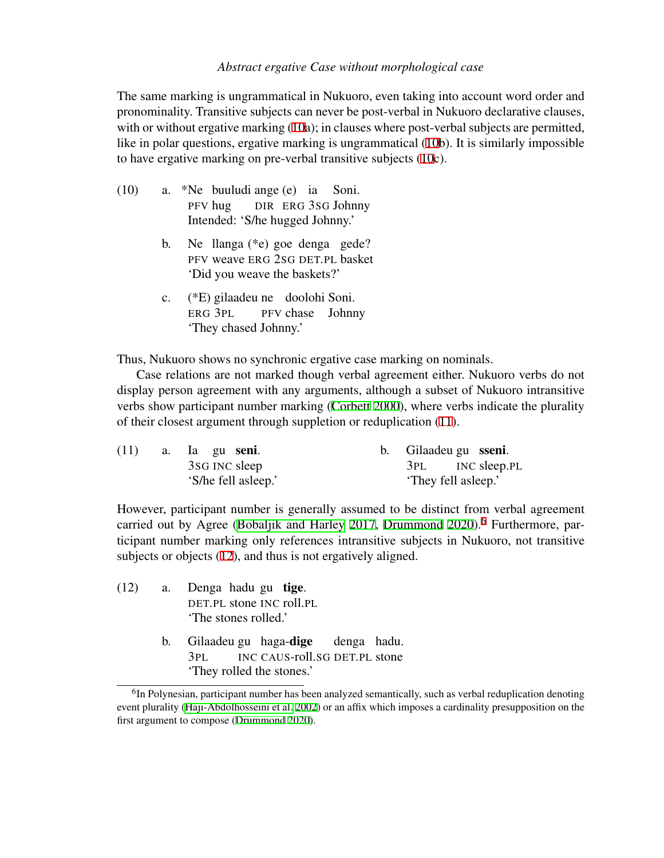The same marking is ungrammatical in Nukuoro, even taking into account word order and pronominality. Transitive subjects can never be post-verbal in Nukuoro declarative clauses, with or without ergative marking [\(10](#page-4-0)a); in clauses where post-verbal subjects are permitted, like in polar questions, ergative marking is ungrammatical ([10b](#page-4-0)). It is similarly impossible to have ergative marking on pre-verbal transitive subjects [\(10](#page-4-0)c).

- <span id="page-4-0"></span>(10) a. \*Ne buuludi ange (e) ia PFV hug DIR ERG 3SG Johnny Soni. Intended: 'S/he hugged Johnny.'
	- b. Ne llanga (\*e) goe denga gede? PFV weave ERG 2SG DET.PL basket 'Did you weave the baskets?'
	- c. (\*E) gilaadeu ne doolohi Soni. ERG 3PL PFV chase Johnny 'They chased Johnny.'

Thus, Nukuoro shows no synchronic ergative case marking on nominals.

Case relations are not marked though verbal agreement either. Nukuoro verbs do not display person agreement with any arguments, although a subset of Nukuoro intransitive verbs show participant number marking ([Corbett](#page-12-7) [2000\)](#page-12-7), where verbs indicate the plurality of their closest argument through suppletion or reduplication [\(11](#page-4-1)).

<span id="page-4-1"></span>

| (11) | a. Ia gu <b>seni</b> . | b. Gilaadeu gu sseni. |
|------|------------------------|-----------------------|
|      | 3sG INC sleep          | 3PL INC sleep.PL      |
|      | 'S/he fell asleep.'    | 'They fell asleep.'   |

However, participant number is generally assumed to be distinct from verbal agreement carried out by Agree ([Bobaljik and Harley](#page-12-8) [2017](#page-12-8), [Drummond](#page-12-9) [2020\)](#page-12-9).<sup>[6](#page-4-2)</sup> Furthermore, participant number marking only references intransitive subjects in Nukuoro, not transitive subjects or objects [\(12](#page-4-3)), and thus is not ergatively aligned.

- <span id="page-4-3"></span>(12) a. Denga hadu gu tige. DET.PL stone INC roll.PL 'The stones rolled.'
	- b. Gilaadeu gu haga-**dige** 3PL INC CAUS-roll.SG DET.PL stone denga hadu. 'They rolled the stones.'

<span id="page-4-2"></span><sup>&</sup>lt;sup>6</sup>In Polynesian, participant number has been analyzed semantically, such as verbal reduplication denoting event plurality ([Haji-Abdolhosseini et al.](#page-13-11) [2002](#page-13-11)) or an affix which imposes a cardinality presupposition on the first argument to compose [\(Drummond](#page-12-9) [2020\)](#page-12-9).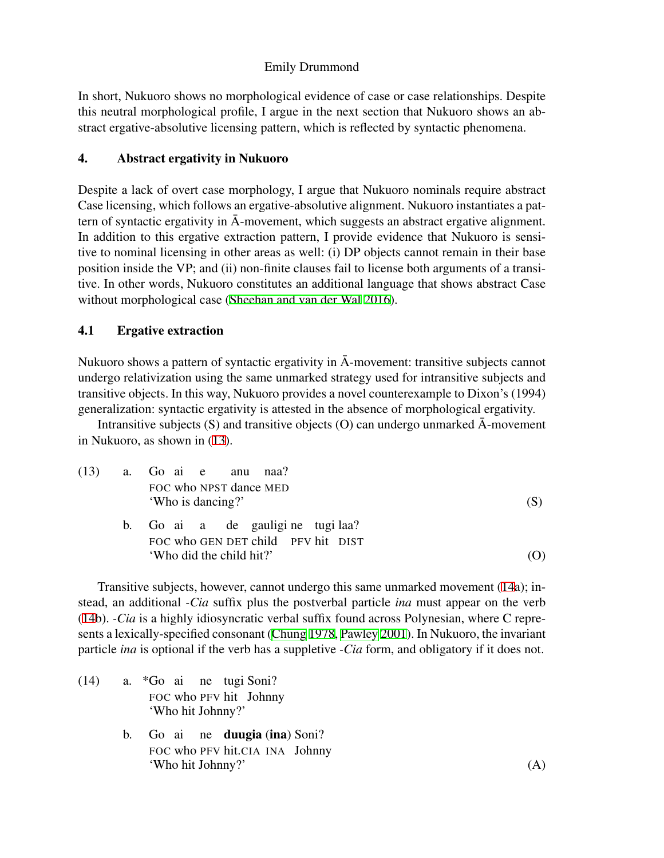In short, Nukuoro shows no morphological evidence of case or case relationships. Despite this neutral morphological profile, I argue in the next section that Nukuoro shows an abstract ergative-absolutive licensing pattern, which is reflected by syntactic phenomena.

# 4. Abstract ergativity in Nukuoro

Despite a lack of overt case morphology, I argue that Nukuoro nominals require abstract Case licensing, which follows an ergative-absolutive alignment. Nukuoro instantiates a pattern of syntactic ergativity in  $\bar{A}$ -movement, which suggests an abstract ergative alignment. In addition to this ergative extraction pattern, I provide evidence that Nukuoro is sensitive to nominal licensing in other areas as well: (i) DP objects cannot remain in their base position inside the VP; and (ii) non-finite clauses fail to license both arguments of a transitive. In other words, Nukuoro constitutes an additional language that shows abstract Case without morphological case ([Sheehan and van der Wal](#page-13-2) [2016\)](#page-13-2).

# 4.1 Ergative extraction

Nukuoro shows a pattern of syntactic ergativity in  $\bar{A}$ -movement: transitive subjects cannot undergo relativization using the same unmarked strategy used for intransitive subjects and transitive objects. In this way, Nukuoro provides a novel counterexample to Dixon's (1994) generalization: syntactic ergativity is attested in the absence of morphological ergativity.

Intransitive subjects (S) and transitive objects (O) can undergo unmarked  $\bar{A}$ -movement in Nukuoro, as shown in ([13\)](#page-5-0).

<span id="page-5-0"></span>

|  | $(13)$ a. Go ai e anu naa?                                               |  |
|--|--------------------------------------------------------------------------|--|
|  | FOC who NPST dance MED<br>'Who is dancing?'                              |  |
|  | b. Go ai a de gauligi ne tugi laa?<br>FOC who GEN DET child PFV hit DIST |  |
|  | 'Who did the child hit?'                                                 |  |

Transitive subjects, however, cannot undergo this same unmarked movement ([14a](#page-5-1)); instead, an additional *-Cia* suffix plus the postverbal particle *ina* must appear on the verb ([14b](#page-5-1)). *-Cia* is a highly idiosyncratic verbal suffix found across Polynesian, where C represents a lexically-specified consonant ([Chung](#page-12-10) [1978,](#page-12-10) [Pawley](#page-13-12) [2001](#page-13-12)). In Nukuoro, the invariant particle *ina* is optional if the verb has a suppletive *-Cia* form, and obligatory if it does not.

- <span id="page-5-1"></span>(14) a. \*Go ai ne tugi Soni? FOC who PFV hit Johnny 'Who hit Johnny?'
	- b. Go ai ne **duugia** (ina) Soni? FOC who PFV hit.CIA INA Johnny 'Who hit Johnny?' (A)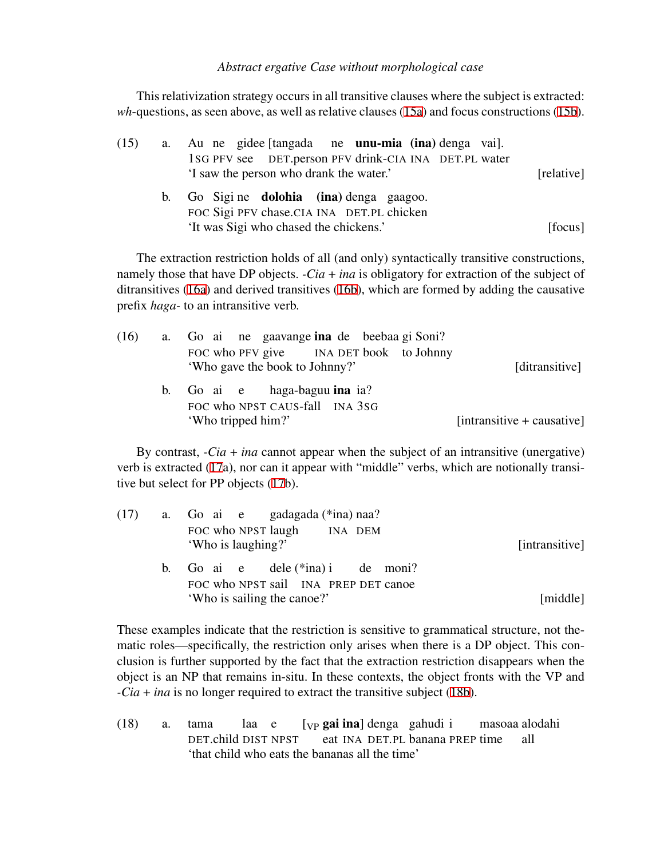This relativization strategy occurs in all transitive clauses where the subject is extracted: *wh*-questions, as seen above, as well as relative clauses ([15a\)](#page-6-0) and focus constructions [\(15b](#page-6-1)).

<span id="page-6-1"></span><span id="page-6-0"></span>

| (15) | a.      | Au ne gidee [tangada ne <b>unu-mia (ina)</b> denga vai].                                         |            |
|------|---------|--------------------------------------------------------------------------------------------------|------------|
|      |         | 1SG PFV see DET.person PFV drink-CIA INA DET.PL water<br>'I saw the person who drank the water.' | [relative] |
|      | $b_{1}$ | Go Sigine dolohia (ina) denga gaagoo.<br>FOC Sigi PFV chase.CIA INA DET.PL chicken               |            |
|      |         | 'It was Sigi who chased the chickens.'                                                           | [focus]    |

The extraction restriction holds of all (and only) syntactically transitive constructions, namely those that have DP objects. *-Cia* + *ina* is obligatory for extraction of the subject of ditransitives ([16a](#page-6-2)) and derived transitives ([16b\)](#page-6-3), which are formed by adding the causative prefix *haga-* to an intransitive verb.

<span id="page-6-3"></span><span id="page-6-2"></span>

|                              |                                         | a. Go ai ne gaavange ina de beebaa gi Soni? |                                                      |  | (16) |
|------------------------------|-----------------------------------------|---------------------------------------------|------------------------------------------------------|--|------|
| [ditransitive]               | FOC who PFV give INA DET book to Johnny |                                             | 'Who gave the book to Johnny?'                       |  |      |
|                              |                                         |                                             | b. Go ai e haga-baguu ina ia?                        |  |      |
| $[intransitive + causative]$ |                                         |                                             | FOC who NPST CAUS-fall INA 3SG<br>'Who tripped him?' |  |      |

By contrast, *-Cia* + *ina* cannot appear when the subject of an intransitive (unergative) verb is extracted ([17a](#page-6-4)), nor can it appear with "middle" verbs, which are notionally transitive but select for PP objects ([17b](#page-6-4)).

<span id="page-6-4"></span>

| [intransitive] | $(17)$ a. Go ai e gadagada (*ina) naa?<br>FOC who NPST laugh INA DEM<br>'Who is laughing?'                   |  |
|----------------|--------------------------------------------------------------------------------------------------------------|--|
| [middle]       | b. Go ai $e$ dele $(*ina)$ i de moni?<br>FOC who NPST sail INA PREP DET canoe<br>'Who is sailing the canoe?' |  |

These examples indicate that the restriction is sensitive to grammatical structure, not thematic roles—specifically, the restriction only arises when there is a DP object. This conclusion is further supported by the fact that the extraction restriction disappears when the object is an NP that remains in-situ. In these contexts, the object fronts with the VP and *-Cia* + *ina* is no longer required to extract the transitive subject [\(18b](#page-7-0)).

(18) a. tama DET.child DIST NPST laa e [<sub>VP</sub> gai ina] denga gahudi i eat INA DET.PL banana PREP time masoaa alodahi all 'that child who eats the bananas all the time'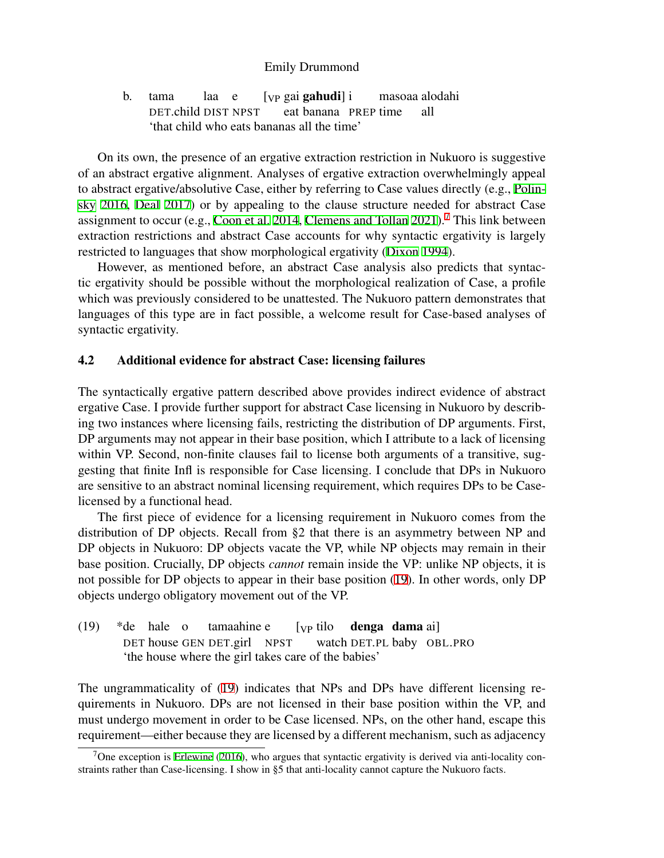<span id="page-7-0"></span>b. tama DET.child DIST NPST laa e [<sub>VP</sub> gai **gahudi**] i eat banana PREP time masoaa alodahi all 'that child who eats bananas all the time'

On its own, the presence of an ergative extraction restriction in Nukuoro is suggestive of an abstract ergative alignment. Analyses of ergative extraction overwhelmingly appeal to abstract ergative/absolutive Case, either by referring to Case values directly (e.g., [Polin](#page-13-13)[sky](#page-13-13) [2016](#page-13-13), [Deal](#page-12-11) [2017\)](#page-12-11) or by appealing to the clause structure needed for abstract Case assignment to occur (e.g., [Coon et al.](#page-12-12) [2014,](#page-12-12) [Clemens and Tollan](#page-12-13) [2021](#page-12-13)).<sup>[7](#page-7-1)</sup> This link between extraction restrictions and abstract Case accounts for why syntactic ergativity is largely restricted to languages that show morphological ergativity [\(Dixon](#page-12-3) [1994](#page-12-3)).

However, as mentioned before, an abstract Case analysis also predicts that syntactic ergativity should be possible without the morphological realization of Case, a profile which was previously considered to be unattested. The Nukuoro pattern demonstrates that languages of this type are in fact possible, a welcome result for Case-based analyses of syntactic ergativity.

# 4.2 Additional evidence for abstract Case: licensing failures

The syntactically ergative pattern described above provides indirect evidence of abstract ergative Case. I provide further support for abstract Case licensing in Nukuoro by describing two instances where licensing fails, restricting the distribution of DP arguments. First, DP arguments may not appear in their base position, which I attribute to a lack of licensing within VP. Second, non-finite clauses fail to license both arguments of a transitive, suggesting that finite Infl is responsible for Case licensing. I conclude that DPs in Nukuoro are sensitive to an abstract nominal licensing requirement, which requires DPs to be Caselicensed by a functional head.

The first piece of evidence for a licensing requirement in Nukuoro comes from the distribution of DP objects. Recall from §2 that there is an asymmetry between NP and DP objects in Nukuoro: DP objects vacate the VP, while NP objects may remain in their base position. Crucially, DP objects *cannot* remain inside the VP: unlike NP objects, it is not possible for DP objects to appear in their base position ([19\)](#page-7-2). In other words, only DP objects undergo obligatory movement out of the VP.

<span id="page-7-2"></span> $(19)$ DET house GEN DET.girl NPST hale o tamaahine e [VP tilo watch DET.PL baby OBL.PRO denga dama ai] 'the house where the girl takes care of the babies'

The ungrammaticality of [\(19](#page-7-2)) indicates that NPs and DPs have different licensing requirements in Nukuoro. DPs are not licensed in their base position within the VP, and must undergo movement in order to be Case licensed. NPs, on the other hand, escape this requirement—either because they are licensed by a different mechanism, such as adjacency

<span id="page-7-1"></span><sup>&</sup>lt;sup>7</sup>One exception is [Erlewine](#page-13-14) ([2016\)](#page-13-14), who argues that syntactic ergativity is derived via anti-locality constraints rather than Case-licensing. I show in §5 that anti-locality cannot capture the Nukuoro facts.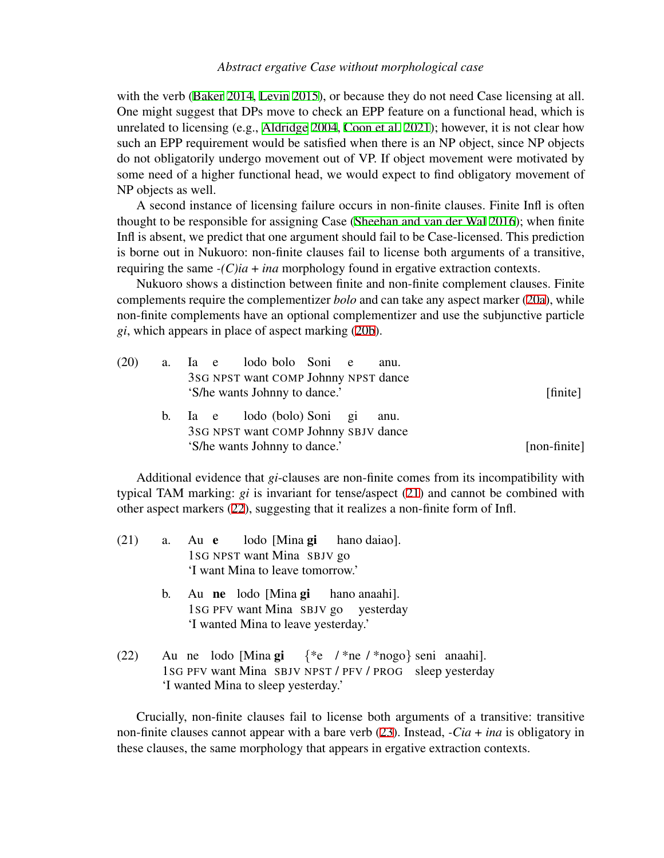with the verb ([Baker](#page-12-14) [2014](#page-12-14), [Levin](#page-13-0) [2015\)](#page-13-0), or because they do not need Case licensing at all. One might suggest that DPs move to check an EPP feature on a functional head, which is unrelated to licensing (e.g., [Aldridge](#page-12-15) [2004](#page-12-15), [Coon et al.](#page-12-16) [2021\)](#page-12-16); however, it is not clear how such an EPP requirement would be satisfied when there is an NP object, since NP objects do not obligatorily undergo movement out of VP. If object movement were motivated by some need of a higher functional head, we would expect to find obligatory movement of NP objects as well.

A second instance of licensing failure occurs in non-finite clauses. Finite Infl is often thought to be responsible for assigning Case [\(Sheehan and van der Wal](#page-13-2) [2016](#page-13-2)); when finite Infl is absent, we predict that one argument should fail to be Case-licensed. This prediction is borne out in Nukuoro: non-finite clauses fail to license both arguments of a transitive, requiring the same *-(C)ia* + *ina* morphology found in ergative extraction contexts.

Nukuoro shows a distinction between finite and non-finite complement clauses. Finite complements require the complementizer *bolo* and can take any aspect marker ([20a](#page-8-0)), while non-finite complements have an optional complementizer and use the subjunctive particle *gi*, which appears in place of aspect marking ([20b\)](#page-8-1).

<span id="page-8-1"></span><span id="page-8-0"></span>

| (20) | a. Ia e lodo bolo Soni e<br>anu.                                            |              |
|------|-----------------------------------------------------------------------------|--------------|
|      | 3SG NPST want COMP Johnny NPST dance<br>'S/he wants Johnny to dance.'       | [finite]     |
|      | b. Ia e lodo (bolo) Soni gi<br>anu.<br>3SG NPST want COMP Johnny SBJV dance |              |
|      | 'S/he wants Johnny to dance.'                                               | [non-finite] |

Additional evidence that *gi*-clauses are non-finite comes from its incompatibility with typical TAM marking: *gi* is invariant for tense/aspect ([21\)](#page-8-2) and cannot be combined with other aspect markers ([22\)](#page-8-3), suggesting that it realizes a non-finite form of Infl.

<span id="page-8-2"></span>

| (21) | a. Au e lodo [Mina gi hano daiao]. |
|------|------------------------------------|
|      | 1sG NPST want Mina SBJV go         |
|      | 'I want Mina to leave tomorrow.'   |
|      |                                    |

- b. Au ne lodo [Mina gi 1SG PFV want Mina SBJV go yesterday hano anaahi]. 'I wanted Mina to leave yesterday.'
- <span id="page-8-3"></span> $(22)$ 1SG PFV want Mina SBJV NPST / PFV / PROG sleep yesterday ne lodo [Mina gi *{*\*e / \*ne / \*nogo*}* seni anaahi]. 'I wanted Mina to sleep yesterday.'

<span id="page-8-4"></span>Crucially, non-finite clauses fail to license both arguments of a transitive: transitive non-finite clauses cannot appear with a bare verb ([23\)](#page-8-4). Instead, *-Cia* + *ina* is obligatory in these clauses, the same morphology that appears in ergative extraction contexts.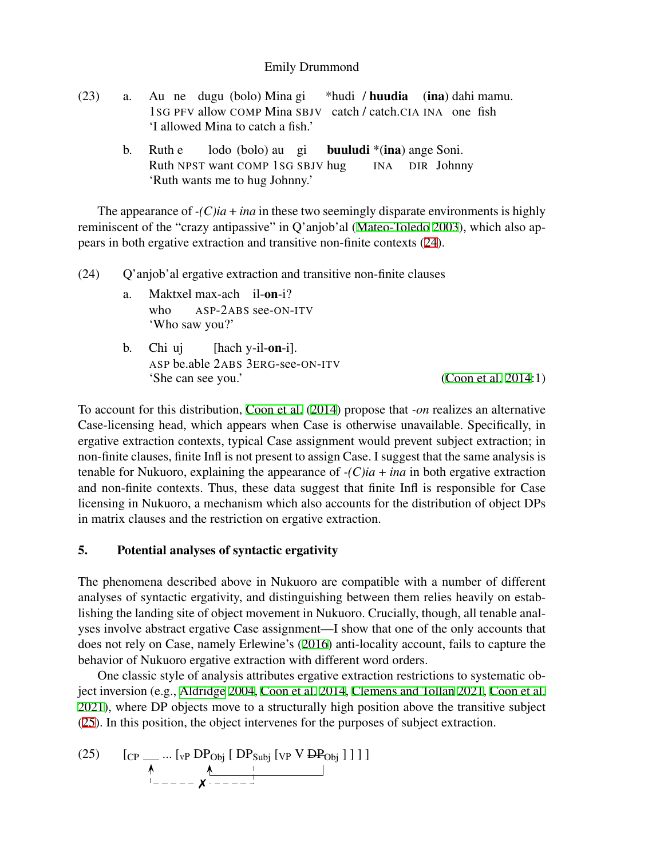| (23) | a. Au ne dugu (bolo) Mina gi *hudi / <b>huudia</b> (ina) dahi mamu. |
|------|---------------------------------------------------------------------|
|      | 1sG PFV allow COMP Mina SBJV catch / catch.CIA INA one fish         |
|      | 'I allowed Mina to catch a fish.'                                   |
|      |                                                                     |

b. Ruth e Ruth NPST want COMP 1SG SBJV hug lodo (bolo) au gi buuludi \*(ina) ange Soni. INA DIR Johnny 'Ruth wants me to hug Johnny.'

The appearance of  $-(C)i\hat{a} + i\hat{n}\hat{a}$  in these two seemingly disparate environments is highly reminiscent of the "crazy antipassive" in Q'anjob'al ([Mateo-Toledo](#page-13-15) [2003](#page-13-15)), which also appears in both ergative extraction and transitive non-finite contexts [\(24](#page-9-0)).

<span id="page-9-0"></span>(24) Q'anjob'al ergative extraction and transitive non-finite clauses

- a. Maktxel max-ach il-on-i? who ASP-2ABS see-ON-ITV 'Who saw you?'
- b. Chi uj ASP be.able 2ABS 3ERG-see-ON-ITV [hach y-il-on-i]. 'She can see you.' [\(Coon et al.](#page-12-12) [2014](#page-12-12):1)

To account for this distribution, [Coon et al.](#page-12-12) ([2014\)](#page-12-12) propose that *-on* realizes an alternative Case-licensing head, which appears when Case is otherwise unavailable. Specifically, in ergative extraction contexts, typical Case assignment would prevent subject extraction; in non-finite clauses, finite Infl is not present to assign Case. I suggest that the same analysis is tenable for Nukuoro, explaining the appearance of  $-(C)ia + ina$  in both ergative extraction and non-finite contexts. Thus, these data suggest that finite Infl is responsible for Case licensing in Nukuoro, a mechanism which also accounts for the distribution of object DPs in matrix clauses and the restriction on ergative extraction.

# 5. Potential analyses of syntactic ergativity

The phenomena described above in Nukuoro are compatible with a number of different analyses of syntactic ergativity, and distinguishing between them relies heavily on establishing the landing site of object movement in Nukuoro. Crucially, though, all tenable analyses involve abstract ergative Case assignment—I show that one of the only accounts that does not rely on Case, namely Erlewine's ([2016\)](#page-13-14) anti-locality account, fails to capture the behavior of Nukuoro ergative extraction with different word orders.

One classic style of analysis attributes ergative extraction restrictions to systematic object inversion (e.g., [Aldridge](#page-12-15) [2004,](#page-12-15) [Coon et al.](#page-12-12) [2014,](#page-12-12) [Clemens and Tollan](#page-12-13) [2021](#page-12-13), [Coon et al.](#page-12-16) [2021\)](#page-12-16), where DP objects move to a structurally high position above the transitive subject ([25\)](#page-9-1). In this position, the object intervenes for the purposes of subject extraction.

<span id="page-9-1"></span>(25) 
$$
\left[ \text{CP } \_\_\_ \cdot \left[ \text{VP } \text{DP}_{\text{Obj}} \text{ [ DP}_{\text{Subj}} \text{ [VP } \text{VP } \text{PP}_{\text{Obj}} \text{ ]} \text{ ]} \text{ ]} \right] \right]
$$

$$
\downarrow
$$

$$
\downarrow
$$

$$
\downarrow
$$

$$
\downarrow
$$

$$
\downarrow
$$

$$
\downarrow
$$

$$
\downarrow
$$

$$
\downarrow
$$

$$
\downarrow
$$

$$
\downarrow
$$

$$
\downarrow
$$

$$
\downarrow
$$

$$
\downarrow
$$

$$
\downarrow
$$

$$
\downarrow
$$

$$
\downarrow
$$

$$
\downarrow
$$

$$
\downarrow
$$

$$
\downarrow
$$

$$
\downarrow
$$

$$
\downarrow
$$

$$
\downarrow
$$

$$
\downarrow
$$

$$
\downarrow
$$

$$
\downarrow
$$

$$
\downarrow
$$

$$
\downarrow
$$

$$
\downarrow
$$

$$
\downarrow
$$

$$
\downarrow
$$

$$
\downarrow
$$

$$
\downarrow
$$

$$
\downarrow
$$

$$
\downarrow
$$

$$
\downarrow
$$

$$
\downarrow
$$

$$
\downarrow
$$

$$
\downarrow
$$

$$
\downarrow
$$

$$
\downarrow
$$

$$
\downarrow
$$

$$
\downarrow
$$

$$
\downarrow
$$

$$
\downarrow
$$

$$
\downarrow
$$

$$
\downarrow
$$

$$
\downarrow
$$

$$
\downarrow
$$

$$
\downarrow
$$

$$
\downarrow
$$

$$
\downarrow
$$

$$
\downarrow
$$

$$
\downarrow
$$

$$
\downarrow
$$

$$
\downarrow
$$

$$
\downarrow
$$

$$
\downarrow
$$

$$
\downarrow
$$

$$
\downarrow
$$

$$
\downarrow
$$

$$
\downarrow
$$

$$
\downarrow
$$

$$
\downarrow
$$

$$
\downarrow
$$

$$
\downarrow
$$

$$
\downarrow
$$

$$
\downarrow
$$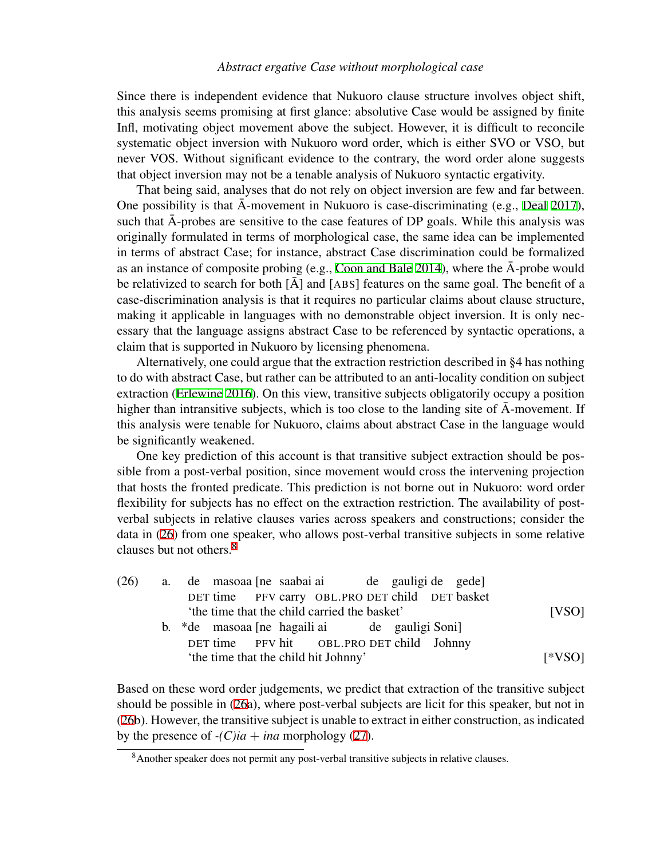Since there is independent evidence that Nukuoro clause structure involves object shift, this analysis seems promising at first glance: absolutive Case would be assigned by finite Infl, motivating object movement above the subject. However, it is difficult to reconcile systematic object inversion with Nukuoro word order, which is either SVO or VSO, but never VOS. Without significant evidence to the contrary, the word order alone suggests that object inversion may not be a tenable analysis of Nukuoro syntactic ergativity.

That being said, analyses that do not rely on object inversion are few and far between. One possibility is that  $\bar{A}$ -movement in Nukuoro is case-discriminating (e.g., [Deal](#page-12-11) [2017](#page-12-11)), such that  $\bar{A}$ -probes are sensitive to the case features of DP goals. While this analysis was originally formulated in terms of morphological case, the same idea can be implemented in terms of abstract Case; for instance, abstract Case discrimination could be formalized as an instance of composite probing (e.g., [Coon and Bale](#page-12-17) [2014](#page-12-17)), where the  $\bar{A}$ -probe would be relativized to search for both  $\bar{[A]}$  and  $[A\bar{B}S]$  features on the same goal. The benefit of a case-discrimination analysis is that it requires no particular claims about clause structure, making it applicable in languages with no demonstrable object inversion. It is only necessary that the language assigns abstract Case to be referenced by syntactic operations, a claim that is supported in Nukuoro by licensing phenomena.

Alternatively, one could argue that the extraction restriction described in §4 has nothing to do with abstract Case, but rather can be attributed to an anti-locality condition on subject extraction [\(Erlewine](#page-13-14) [2016](#page-13-14)). On this view, transitive subjects obligatorily occupy a position higher than intransitive subjects, which is too close to the landing site of  $\bar{A}$ -movement. If this analysis were tenable for Nukuoro, claims about abstract Case in the language would be significantly weakened.

One key prediction of this account is that transitive subject extraction should be possible from a post-verbal position, since movement would cross the intervening projection that hosts the fronted predicate. This prediction is not borne out in Nukuoro: word order flexibility for subjects has no effect on the extraction restriction. The availability of postverbal subjects in relative clauses varies across speakers and constructions; consider the data in [\(26\)](#page-10-0) from one speaker, who allows post-verbal transitive subjects in some relative clauses but not others.[8](#page-10-1)

<span id="page-10-0"></span>

|  | (26) a. de masoaa [ne saabai ai de gauligi de gede] |          |
|--|-----------------------------------------------------|----------|
|  | DET time PFV carry OBL.PRO DET child DET basket     |          |
|  | the time that the child carried the basket'         | [VSO]    |
|  | b. *de masoaa [ne hagaili ai de gauligi Soni]       |          |
|  | DET time PFV hit OBL.PRO DET child Johnny           |          |
|  | 'the time that the child hit Johnny'                | $[*VSO]$ |

Based on these word order judgements, we predict that extraction of the transitive subject should be possible in [\(26](#page-10-0)a), where post-verbal subjects are licit for this speaker, but not in ([26b](#page-10-0)). However, the transitive subject is unable to extract in either construction, as indicated by the presence of  $-(C)ia + ina$  morphology [\(27](#page-10-2)).

<span id="page-10-2"></span><span id="page-10-1"></span><sup>&</sup>lt;sup>8</sup>Another speaker does not permit any post-verbal transitive subjects in relative clauses.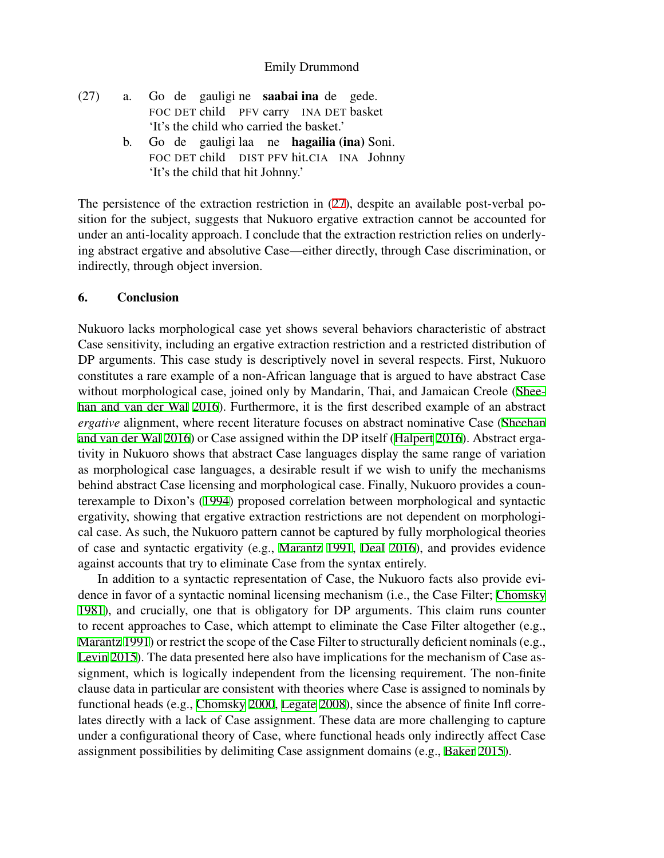- $(27)$  a. FOC DET child PFV carry INA DET basket de gauligi ne saabai ina de gede. 'It's the child who carried the basket.' b. Go de gauligi laa ne hagailia (ina) Soni.
	- FOC DET child DIST PFV hit.CIA INA Johnny 'It's the child that hit Johnny.'

The persistence of the extraction restriction in ([27](#page-10-2)), despite an available post-verbal position for the subject, suggests that Nukuoro ergative extraction cannot be accounted for under an anti-locality approach. I conclude that the extraction restriction relies on underlying abstract ergative and absolutive Case—either directly, through Case discrimination, or indirectly, through object inversion.

#### 6. Conclusion

Nukuoro lacks morphological case yet shows several behaviors characteristic of abstract Case sensitivity, including an ergative extraction restriction and a restricted distribution of DP arguments. This case study is descriptively novel in several respects. First, Nukuoro constitutes a rare example of a non-African language that is argued to have abstract Case without morphological case, joined only by Mandarin, Thai, and Jamaican Creole [\(Shee](#page-13-2)[han and van der Wal](#page-13-2) [2016\)](#page-13-2). Furthermore, it is the first described example of an abstract *ergative* alignment, where recent literature focuses on abstract nominative Case ([Sheehan](#page-13-2) [and van der Wal](#page-13-2) [2016](#page-13-2)) or Case assigned within the DP itself ([Halpert](#page-13-3) [2016](#page-13-3)). Abstract ergativity in Nukuoro shows that abstract Case languages display the same range of variation as morphological case languages, a desirable result if we wish to unify the mechanisms behind abstract Case licensing and morphological case. Finally, Nukuoro provides a counterexample to Dixon's ([1994](#page-12-3)) proposed correlation between morphological and syntactic ergativity, showing that ergative extraction restrictions are not dependent on morphological case. As such, the Nukuoro pattern cannot be captured by fully morphological theories of case and syntactic ergativity (e.g., [Marantz](#page-13-1) [1991](#page-13-1), [Deal](#page-12-18) [2016](#page-12-18)), and provides evidence against accounts that try to eliminate Case from the syntax entirely.

In addition to a syntactic representation of Case, the Nukuoro facts also provide evidence in favor of a syntactic nominal licensing mechanism (i.e., the Case Filter; [Chomsky](#page-12-0) [1981\)](#page-12-0), and crucially, one that is obligatory for DP arguments. This claim runs counter to recent approaches to Case, which attempt to eliminate the Case Filter altogether (e.g., [Marantz](#page-13-1) [1991](#page-13-1)) or restrict the scope of the Case Filter to structurally deficient nominals (e.g., [Levin](#page-13-0) [2015](#page-13-0)). The data presented here also have implications for the mechanism of Case assignment, which is logically independent from the licensing requirement. The non-finite clause data in particular are consistent with theories where Case is assigned to nominals by functional heads (e.g., [Chomsky](#page-12-19) [2000,](#page-12-19) [Legate](#page-13-16) [2008\)](#page-13-16), since the absence of finite Infl correlates directly with a lack of Case assignment. These data are more challenging to capture under a configurational theory of Case, where functional heads only indirectly affect Case assignment possibilities by delimiting Case assignment domains (e.g., [Baker](#page-12-1) [2015](#page-12-1)).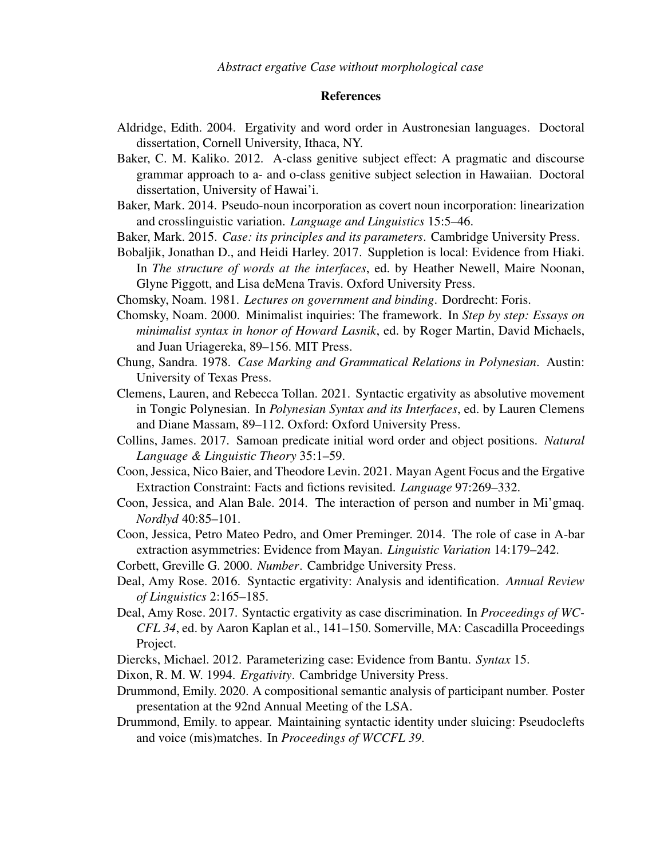# References

- <span id="page-12-15"></span>Aldridge, Edith. 2004. Ergativity and word order in Austronesian languages. Doctoral dissertation, Cornell University, Ithaca, NY.
- <span id="page-12-6"></span>Baker, C. M. Kaliko. 2012. A-class genitive subject effect: A pragmatic and discourse grammar approach to a- and o-class genitive subject selection in Hawaiian. Doctoral dissertation, University of Hawai'i.
- <span id="page-12-14"></span>Baker, Mark. 2014. Pseudo-noun incorporation as covert noun incorporation: linearization and crosslinguistic variation. *Language and Linguistics* 15:5–46.
- <span id="page-12-1"></span>Baker, Mark. 2015. *Case: its principles and its parameters*. Cambridge University Press.
- <span id="page-12-8"></span>Bobaljik, Jonathan D., and Heidi Harley. 2017. Suppletion is local: Evidence from Hiaki. In *The structure of words at the interfaces*, ed. by Heather Newell, Maire Noonan, Glyne Piggott, and Lisa deMena Travis. Oxford University Press.
- <span id="page-12-0"></span>Chomsky, Noam. 1981. *Lectures on government and binding*. Dordrecht: Foris.
- <span id="page-12-19"></span>Chomsky, Noam. 2000. Minimalist inquiries: The framework. In *Step by step: Essays on minimalist syntax in honor of Howard Lasnik*, ed. by Roger Martin, David Michaels, and Juan Uriagereka, 89–156. MIT Press.
- <span id="page-12-10"></span>Chung, Sandra. 1978. *Case Marking and Grammatical Relations in Polynesian*. Austin: University of Texas Press.
- <span id="page-12-13"></span>Clemens, Lauren, and Rebecca Tollan. 2021. Syntactic ergativity as absolutive movement in Tongic Polynesian. In *Polynesian Syntax and its Interfaces*, ed. by Lauren Clemens and Diane Massam, 89–112. Oxford: Oxford University Press.
- <span id="page-12-4"></span>Collins, James. 2017. Samoan predicate initial word order and object positions. *Natural Language & Linguistic Theory* 35:1–59.
- <span id="page-12-16"></span>Coon, Jessica, Nico Baier, and Theodore Levin. 2021. Mayan Agent Focus and the Ergative Extraction Constraint: Facts and fictions revisited. *Language* 97:269–332.
- <span id="page-12-17"></span>Coon, Jessica, and Alan Bale. 2014. The interaction of person and number in Mi'gmaq. *Nordlyd* 40:85–101.
- <span id="page-12-12"></span>Coon, Jessica, Petro Mateo Pedro, and Omer Preminger. 2014. The role of case in A-bar extraction asymmetries: Evidence from Mayan. *Linguistic Variation* 14:179–242.
- <span id="page-12-7"></span>Corbett, Greville G. 2000. *Number*. Cambridge University Press.
- <span id="page-12-18"></span>Deal, Amy Rose. 2016. Syntactic ergativity: Analysis and identification. *Annual Review of Linguistics* 2:165–185.
- <span id="page-12-11"></span>Deal, Amy Rose. 2017. Syntactic ergativity as case discrimination. In *Proceedings of WC-CFL 34*, ed. by Aaron Kaplan et al., 141–150. Somerville, MA: Cascadilla Proceedings Project.
- <span id="page-12-2"></span>Diercks, Michael. 2012. Parameterizing case: Evidence from Bantu. *Syntax* 15.
- <span id="page-12-3"></span>Dixon, R. M. W. 1994. *Ergativity*. Cambridge University Press.
- <span id="page-12-9"></span>Drummond, Emily. 2020. A compositional semantic analysis of participant number. Poster presentation at the 92nd Annual Meeting of the LSA.
- <span id="page-12-5"></span>Drummond, Emily. to appear. Maintaining syntactic identity under sluicing: Pseudoclefts and voice (mis)matches. In *Proceedings of WCCFL 39*.